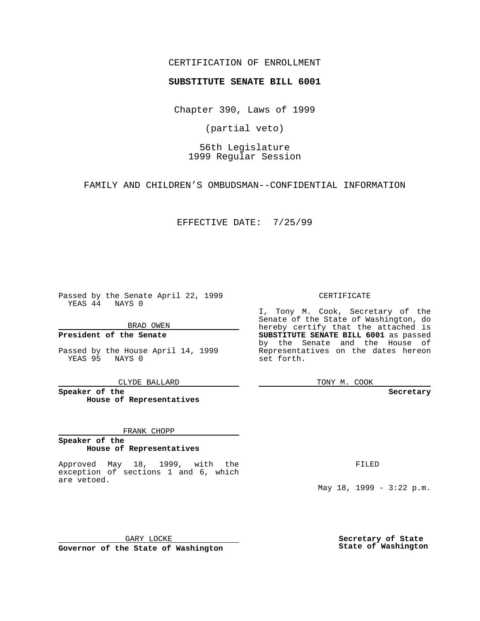### CERTIFICATION OF ENROLLMENT

# **SUBSTITUTE SENATE BILL 6001**

Chapter 390, Laws of 1999

(partial veto)

56th Legislature 1999 Regular Session

FAMILY AND CHILDREN'S OMBUDSMAN--CONFIDENTIAL INFORMATION

EFFECTIVE DATE: 7/25/99

Passed by the Senate April 22, 1999 YEAS 44 NAYS 0

BRAD OWEN

**President of the Senate**

Passed by the House April 14, 1999 YEAS 95 NAYS 0

CLYDE BALLARD

**Speaker of the House of Representatives**

#### FRANK CHOPP

#### **Speaker of the House of Representatives**

Approved May 18, 1999, with the exception of sections 1 and 6, which are vetoed.

CERTIFICATE

I, Tony M. Cook, Secretary of the Senate of the State of Washington, do hereby certify that the attached is **SUBSTITUTE SENATE BILL 6001** as passed by the Senate and the House of Representatives on the dates hereon set forth.

TONY M. COOK

#### **Secretary**

FILED

May 18, 1999 - 3:22 p.m.

GARY LOCKE **Governor of the State of Washington** **Secretary of State State of Washington**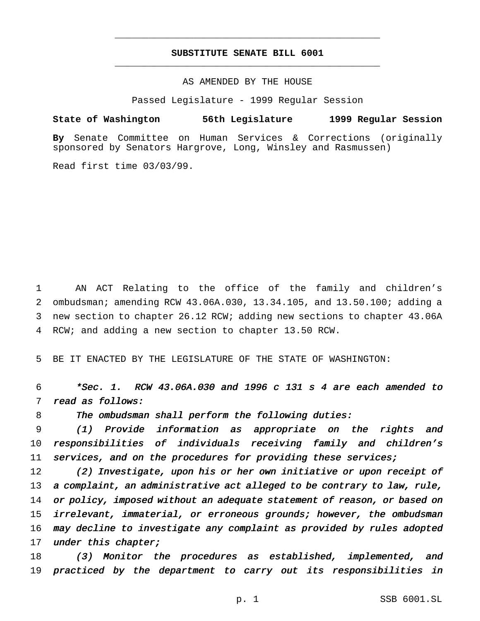## **SUBSTITUTE SENATE BILL 6001** \_\_\_\_\_\_\_\_\_\_\_\_\_\_\_\_\_\_\_\_\_\_\_\_\_\_\_\_\_\_\_\_\_\_\_\_\_\_\_\_\_\_\_\_\_\_\_

\_\_\_\_\_\_\_\_\_\_\_\_\_\_\_\_\_\_\_\_\_\_\_\_\_\_\_\_\_\_\_\_\_\_\_\_\_\_\_\_\_\_\_\_\_\_\_

### AS AMENDED BY THE HOUSE

Passed Legislature - 1999 Regular Session

**State of Washington 56th Legislature 1999 Regular Session**

**By** Senate Committee on Human Services & Corrections (originally sponsored by Senators Hargrove, Long, Winsley and Rasmussen)

Read first time 03/03/99.

 AN ACT Relating to the office of the family and children's ombudsman; amending RCW 43.06A.030, 13.34.105, and 13.50.100; adding a new section to chapter 26.12 RCW; adding new sections to chapter 43.06A RCW; and adding a new section to chapter 13.50 RCW.

5 BE IT ENACTED BY THE LEGISLATURE OF THE STATE OF WASHINGTON:

6 \*Sec. 1. RCW 43.06A.030 and <sup>1996</sup> <sup>c</sup> <sup>131</sup> <sup>s</sup> <sup>4</sup> are each amended to 7 read as follows:

8 The ombudsman shall perform the following duties:

9 (1) Provide information as appropriate on the rights and 10 responsibilities of individuals receiving family and children's 11 services, and on the procedures for providing these services;

12 (2) Investigate, upon his or her own initiative or upon receipt of 13 a complaint, an administrative act alleged to be contrary to law, rule, 14 or policy, imposed without an adequate statement of reason, or based on 15 irrelevant, immaterial, or erroneous grounds; however, the ombudsman 16 may decline to investigate any complaint as provided by rules adopted 17 under this chapter;

18 (3) Monitor the procedures as established, implemented, and 19 practiced by the department to carry out its responsibilities in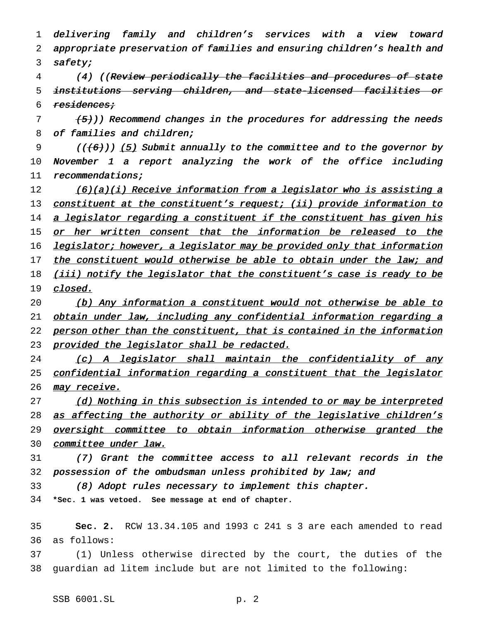1 delivering family and children's services with <sup>a</sup> view toward 2 appropriate preservation of families and ensuring children's health and 3 safety; 4 (4) ((Review periodically the facilities and procedures of state 5 institutions serving children, and state-licensed facilities or 6 residences;  $7$   $(5)$ )) Recommend changes in the procedures for addressing the needs 8 of families and children; 9 ( $(\{\text{6}\})$ ) (5) Submit annually to the committee and to the governor by 10 November <sup>1</sup> <sup>a</sup> report analyzing the work of the office including 11 recommendations; 12 (6)(a)(i) Receive information from a legislator who is assisting a 13 constituent at the constituent's request; (ii) provide information to 14 a legislator regarding a constituent if the constituent has given his 15 or her written consent that the information be released to the 16 legislator; however, a legislator may be provided only that information 17 the constituent would otherwise be able to obtain under the law; and 18 (iii) notify the legislator that the constituent's case is ready to be 19 *closed.* 20 (b) Any information <sup>a</sup> constituent would not otherwise be able to 21 obtain under law, including any confidential information regarding a 22 person other than the constituent, that is contained in the information 23 provided the legislator shall be redacted. 24 (c) A legislator shall maintain the confidentiality of any 25 confidential information regarding a constituent that the legislator 26 may receive. 27 (d) Nothing in this subsection is intended to or may be interpreted 28 as affecting the authority or ability of the legislative children's 29 oversight committee to obtain information otherwise granted the 30 committee under law. 31 (7) Grant the committee access to all relevant records in the 32 possession of the ombudsman unless prohibited by law; and 33 (8) Adopt rules necessary to implement this chapter. 34 **\*Sec. 1 was vetoed. See message at end of chapter.** 35 **Sec. 2.** RCW 13.34.105 and 1993 c 241 s 3 are each amended to read 36 as follows:

37 (1) Unless otherwise directed by the court, the duties of the 38 guardian ad litem include but are not limited to the following: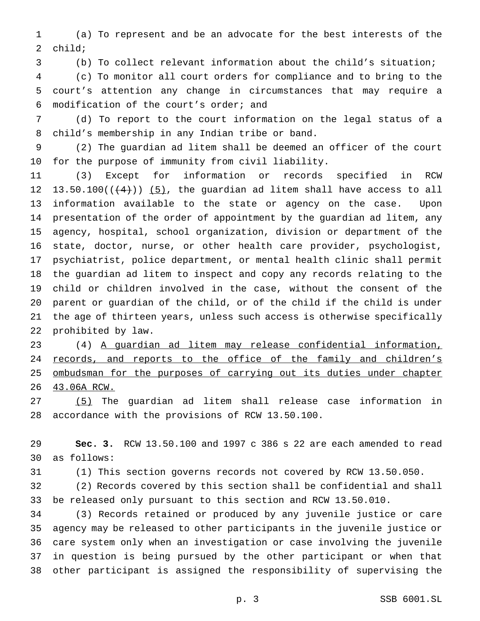(a) To represent and be an advocate for the best interests of the child;

(b) To collect relevant information about the child's situation;

 (c) To monitor all court orders for compliance and to bring to the court's attention any change in circumstances that may require a modification of the court's order; and

 (d) To report to the court information on the legal status of a child's membership in any Indian tribe or band.

 (2) The guardian ad litem shall be deemed an officer of the court for the purpose of immunity from civil liability.

 (3) Except for information or records specified in RCW 12 13.50.100 $((+4))$   $(5)$ , the guardian ad litem shall have access to all information available to the state or agency on the case. Upon presentation of the order of appointment by the guardian ad litem, any agency, hospital, school organization, division or department of the state, doctor, nurse, or other health care provider, psychologist, psychiatrist, police department, or mental health clinic shall permit the guardian ad litem to inspect and copy any records relating to the child or children involved in the case, without the consent of the parent or guardian of the child, or of the child if the child is under the age of thirteen years, unless such access is otherwise specifically prohibited by law.

 (4) A guardian ad litem may release confidential information, 24 records, and reports to the office of the family and children's 25 ombudsman for the purposes of carrying out its duties under chapter 43.06A RCW.

 (5) The guardian ad litem shall release case information in accordance with the provisions of RCW 13.50.100.

 **Sec. 3.** RCW 13.50.100 and 1997 c 386 s 22 are each amended to read as follows:

(1) This section governs records not covered by RCW 13.50.050.

 (2) Records covered by this section shall be confidential and shall be released only pursuant to this section and RCW 13.50.010.

 (3) Records retained or produced by any juvenile justice or care agency may be released to other participants in the juvenile justice or care system only when an investigation or case involving the juvenile in question is being pursued by the other participant or when that other participant is assigned the responsibility of supervising the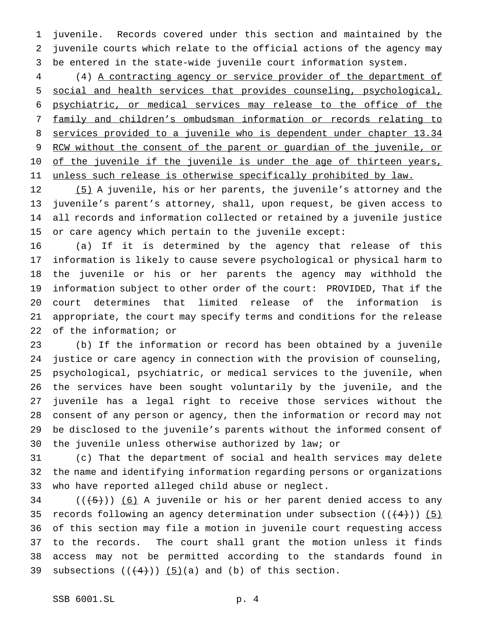juvenile. Records covered under this section and maintained by the juvenile courts which relate to the official actions of the agency may be entered in the state-wide juvenile court information system.

 (4) A contracting agency or service provider of the department of social and health services that provides counseling, psychological, psychiatric, or medical services may release to the office of the family and children's ombudsman information or records relating to services provided to a juvenile who is dependent under chapter 13.34 9 RCW without the consent of the parent or guardian of the juvenile, or 10 of the juvenile if the juvenile is under the age of thirteen years, 11 unless such release is otherwise specifically prohibited by law.

12 (5) A juvenile, his or her parents, the juvenile's attorney and the juvenile's parent's attorney, shall, upon request, be given access to all records and information collected or retained by a juvenile justice or care agency which pertain to the juvenile except:

 (a) If it is determined by the agency that release of this information is likely to cause severe psychological or physical harm to the juvenile or his or her parents the agency may withhold the information subject to other order of the court: PROVIDED, That if the court determines that limited release of the information is appropriate, the court may specify terms and conditions for the release of the information; or

 (b) If the information or record has been obtained by a juvenile justice or care agency in connection with the provision of counseling, psychological, psychiatric, or medical services to the juvenile, when the services have been sought voluntarily by the juvenile, and the juvenile has a legal right to receive those services without the consent of any person or agency, then the information or record may not be disclosed to the juvenile's parents without the informed consent of the juvenile unless otherwise authorized by law; or

 (c) That the department of social and health services may delete the name and identifying information regarding persons or organizations who have reported alleged child abuse or neglect.

 (( $\left(\frac{5}{1}\right)$ ) (6) A juvenile or his or her parent denied access to any 35 records following an agency determination under subsection  $((+4))$  (5) of this section may file a motion in juvenile court requesting access to the records. The court shall grant the motion unless it finds access may not be permitted according to the standards found in 39 subsections  $((+4))$   $(5)(a)$  and (b) of this section.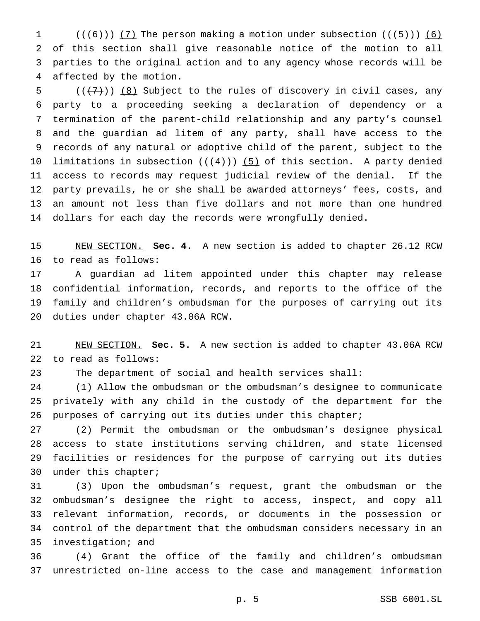$((+6))$   $(7)$  The person making a motion under subsection  $((+5))$   $(6)$  of this section shall give reasonable notice of the motion to all parties to the original action and to any agency whose records will be affected by the motion.

 $((+7))$  (8) Subject to the rules of discovery in civil cases, any party to a proceeding seeking a declaration of dependency or a termination of the parent-child relationship and any party's counsel and the guardian ad litem of any party, shall have access to the records of any natural or adoptive child of the parent, subject to the 10 limitations in subsection  $((+4))$  (5) of this section. A party denied access to records may request judicial review of the denial. If the party prevails, he or she shall be awarded attorneys' fees, costs, and an amount not less than five dollars and not more than one hundred dollars for each day the records were wrongfully denied.

 NEW SECTION. **Sec. 4.** A new section is added to chapter 26.12 RCW to read as follows:

 A guardian ad litem appointed under this chapter may release confidential information, records, and reports to the office of the family and children's ombudsman for the purposes of carrying out its duties under chapter 43.06A RCW.

 NEW SECTION. **Sec. 5.** A new section is added to chapter 43.06A RCW to read as follows:

The department of social and health services shall:

 (1) Allow the ombudsman or the ombudsman's designee to communicate privately with any child in the custody of the department for the purposes of carrying out its duties under this chapter;

 (2) Permit the ombudsman or the ombudsman's designee physical access to state institutions serving children, and state licensed facilities or residences for the purpose of carrying out its duties under this chapter;

 (3) Upon the ombudsman's request, grant the ombudsman or the ombudsman's designee the right to access, inspect, and copy all relevant information, records, or documents in the possession or control of the department that the ombudsman considers necessary in an investigation; and

 (4) Grant the office of the family and children's ombudsman unrestricted on-line access to the case and management information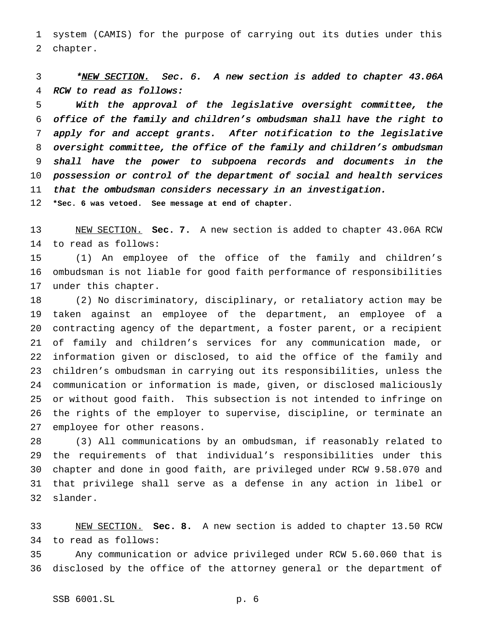system (CAMIS) for the purpose of carrying out its duties under this chapter.

3 \*NEW SECTION. Sec. 6. A new section is added to chapter 43.06A RCW to read as follows:

 With the approval of the legislative oversight committee, the office of the family and children's ombudsman shall have the right to apply for and accept grants. After notification to the legislative oversight committee, the office of the family and children's ombudsman shall have the power to subpoena records and documents in the possession or control of the department of social and health services 11 that the ombudsman considers necessary in an investigation.

**\*Sec. 6 was vetoed. See message at end of chapter.**

 NEW SECTION. **Sec. 7.** A new section is added to chapter 43.06A RCW to read as follows:

 (1) An employee of the office of the family and children's ombudsman is not liable for good faith performance of responsibilities under this chapter.

 (2) No discriminatory, disciplinary, or retaliatory action may be taken against an employee of the department, an employee of a contracting agency of the department, a foster parent, or a recipient of family and children's services for any communication made, or information given or disclosed, to aid the office of the family and children's ombudsman in carrying out its responsibilities, unless the communication or information is made, given, or disclosed maliciously or without good faith. This subsection is not intended to infringe on the rights of the employer to supervise, discipline, or terminate an employee for other reasons.

 (3) All communications by an ombudsman, if reasonably related to the requirements of that individual's responsibilities under this chapter and done in good faith, are privileged under RCW 9.58.070 and that privilege shall serve as a defense in any action in libel or slander.

 NEW SECTION. **Sec. 8.** A new section is added to chapter 13.50 RCW to read as follows:

 Any communication or advice privileged under RCW 5.60.060 that is disclosed by the office of the attorney general or the department of